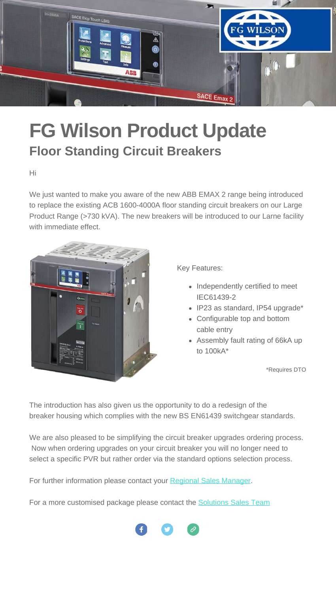

## **FG Wilson Product Update Floor Standing Circuit Breakers**

Hi

We just wanted to make you aware of the new ABB EMAX 2 range being introduced to replace the existing ACB 1600-4000A floor standing circuit breakers on our Large Product Range (>730 kVA). The new breakers will be introduced to our Larne facility with immediate effect.



Key Features:

- Independently certified to meet IEC61439-2
- IP23 as standard, IP54 upgrade\*
- Configurable top and bottom cable entry
- Assembly fault rating of 66kA up to 100kA\*

\*Requires DTO

The introduction has also given us the opportunity to do a redesign of the breaker housing which complies with the new BS EN61439 switchgear standards.

We are also pleased to be simplifying the circuit breaker upgrades ordering process. Now when ordering upgrades on your circuit breaker you will no longer need to select a specific PVR but rather order via the standard options selection process.

For further information please con[tact](https://www.facebook.com/fgwilsongeneratorsets/) yo[ur R](https://twitter.com/fgwilson)eg[iona](http://www.fgwilson.com/)l [Sales Manager](https://powerup2.fgwilson.com/en/marketing/Contacts/SalesManagersAreaCountry.html).

For a more customised package please contact the **[Solutions Sales Team](https://powerup2.fgwilson.com/en/marketing/Contacts/SolutionsSales.html)**